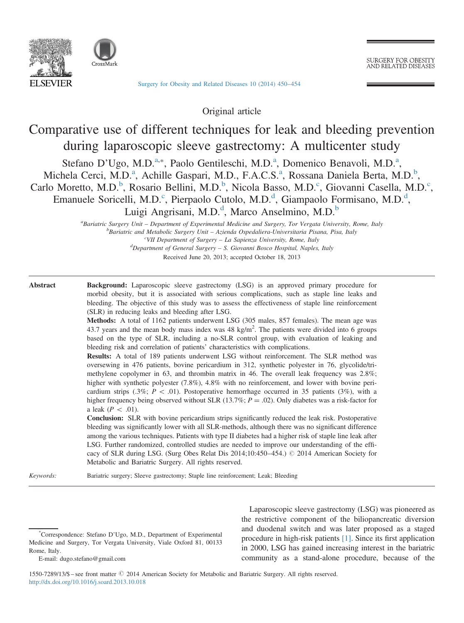



[Surgery for Obesity and Related Diseases 10 \(2014\) 450](http://dx.doi.org/10.1016/j.soard.2013.10.018)–454

**SURGERY FOR OBESITY** AND RELATED DISEASES

Original article

# Comparative use of different techniques for leak and bleeding prevention during laparoscopic sleeve gastrectomy: A multicenter study

Stefano D'Ugo, M.D.<sup>a,\*</sup>, Paolo Gentileschi, M.D.<sup>a</sup>, Domenico Benavoli, M.D.<sup>a</sup>,

Michela Cerci, M.D.<sup>a</sup>, Achille Gaspari, M.D., F.A.C.S.<sup>a</sup>, Rossana Daniela Berta, M.D.<sup>b</sup>,

Carlo Moretto, M.D.<sup>b</sup>, Rosario Bellini, M.D.<sup>b</sup>, Nicola Basso, M.D.<sup>c</sup>, Giovanni Casella, M.D.<sup>c</sup>,

Emanuele Soricelli, M.D.<sup>c</sup>, Pierpaolo Cutolo, M.D.<sup>d</sup>, Giampaolo Formisano, M.D.<sup>d</sup>,

Luigi Angrisani, M.D.<sup>d</sup>, Marco Anselmino, M.D.<sup>b</sup>

<sup>a</sup> Bariatric Surgery Unit – Department of Experimental Medicine and Surgery, Tor Vergata University, Rome, Italy<br><sup>b</sup> Bariatric and Metabolic Surgery Unit – Azianda Ospadaliara Universitaria Pisana, Pisa, Italy  ${}^b$ Bariatric and Metabolic Surgery Unit – Azienda Ospedaliera-Universitaria Pisana, Pisa, Italy <sup>c</sup>VII Department of Surgery  $-$  La Sapienza University, Rome, Italy

 ${}^{d}$ Department of General Surgery - S. Giovanni Bosco Hospital, Naples, Italy

Received June 20, 2013; accepted October 18, 2013

# Abstract Background: Laparoscopic sleeve gastrectomy (LSG) is an approved primary procedure for morbid obesity, but it is associated with serious complications, such as staple line leaks and bleeding. The objective of this study was to assess the effectiveness of staple line reinforcement (SLR) in reducing leaks and bleeding after LSG. Methods: A total of 1162 patients underwent LSG (305 males, 857 females). The mean age was 43.7 years and the mean body mass index was 48 kg/m<sup>2</sup>. The patients were divided into 6 groups based on the type of SLR, including a no-SLR control group, with evaluation of leaking and bleeding risk and correlation of patients' characteristics with complications. Results: A total of 189 patients underwent LSG without reinforcement. The SLR method was oversewing in 476 patients, bovine pericardium in 312, synthetic polyester in 76, glycolide/trimethylene copolymer in 63, and thrombin matrix in 46. The overall leak frequency was 2.8%;

higher with synthetic polyester (7.8%), 4.8% with no reinforcement, and lower with bovine pericardium strips (.3%;  $P < .01$ ). Postoperative hemorrhage occurred in 35 patients (3%), with a higher frequency being observed without SLR (13.7%;  $P = .02$ ). Only diabetes was a risk-factor for a leak  $(P < .01)$ .

Conclusion: SLR with bovine pericardium strips significantly reduced the leak risk. Postoperative bleeding was significantly lower with all SLR-methods, although there was no significant difference among the various techniques. Patients with type II diabetes had a higher risk of staple line leak after LSG. Further randomized, controlled studies are needed to improve our understanding of the efficacy of SLR during LSG. (Surg Obes Relat Dis  $2014;10:450-454$ .)  $\odot$  2014 American Society for Metabolic and Bariatric Surgery. All rights reserved.

Keywords: Bariatric surgery; Sleeve gastrectomy; Staple line reinforcement; Leak; Bleeding

\* Correspondence: Stefano D'Ugo, M.D., Department of Experimental Medicine and Surgery, Tor Vergata University, Viale Oxford 81, 00133 Rome, Italy.

E-mail: [dugo.stefano@gmail.com](mailto:dugo.stefano@gmail.com)

Laparoscopic sleeve gastrectomy (LSG) was pioneered as the restrictive component of the biliopancreatic diversion and duodenal switch and was later proposed as a staged procedure in high-risk patients [\[1\]](#page-4-0). Since its first application in 2000, LSG has gained increasing interest in the bariatric community as a stand-alone procedure, because of the

1550-7289/13/\$ – see front matter © 2014 American Society for Metabolic and Bariatric Surgery. All rights reserved. <http://dx.doi.org/10.1016/j.soard.2013.10.018>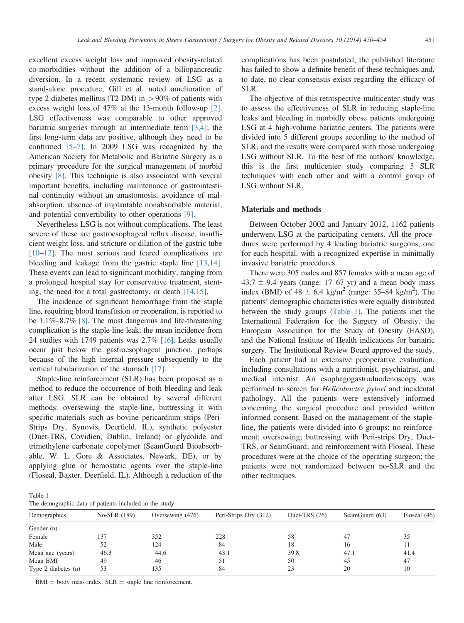excellent excess weight loss and improved obesity-related co-morbidities without the addition of a biliopancreatic diversion. In a recent systematic review of LSG as a stand-alone procedure, Gill et al. noted amelioration of type 2 diabetes mellitus (T2 DM) in  $>90\%$  of patients with excess weight loss of 47% at the 13-month follow-up [\[2\]](#page-4-0). LSG effectiveness was comparable to other approved bariatric surgeries through an intermediate term [\[3](#page-4-0),[4\];](#page-4-0) the first long-term data are positive, although they need to be confirmed [\[5](#page-4-0)–[7\].](#page-4-0) In 2009 LSG was recognized by the American Society for Metabolic and Bariatric Surgery as a primary procedure for the surgical management of morbid obesity [\[8\]](#page-4-0). This technique is also associated with several important benefits, including maintenance of gastrointestinal continuity without an anastomosis, avoidance of malabsorption, absence of implantable nonabsorbable material, and potential convertibility to other operations [\[9\]](#page-4-0).

Nevertheless LSG is not without complications. The least severe of these are gastroesophageal reflux disease, insufficient weight loss, and stricture or dilation of the gastric tube [\[10](#page-4-0)–[12\]](#page-4-0). The most serious and feared complications are bleeding and leakage from the gastric staple line [\[13,14\]](#page-4-0). These events can lead to significant morbidity, ranging from a prolonged hospital stay for conservative treatment, stenting, the need for a total gastrectomy, or death [\[14,15\].](#page-4-0)

The incidence of significant hemorrhage from the staple line, requiring blood transfusion or reoperation, is reported to be 1.1%–8.7% [\[8\].](#page-4-0) The most dangerous and life-threatening complication is the staple-line leak; the mean incidence from 24 studies with 1749 patients was 2.7% [\[16\]](#page-4-0). Leaks usually occur just below the gastroesophageal junction, perhaps because of the high internal pressure subsequently to the vertical tubularization of the stomach [\[17\]](#page-4-0).

Staple-line reinforcement (SLR) has been proposed as a method to reduce the occurrence of both bleeding and leak after LSG. SLR can be obtained by several different methods: oversewing the staple-line, buttressing it with specific materials such as bovine pericardium strips (Peri-Strips Dry, Synovis, Deerfield, IL), synthetic polyester (Duet-TRS, Covidien, Dublin, Ireland) or glycolide and trimethylene carbonate copolymer (SeamGuard Bioabsorbable, W. L. Gore & Associates, Newark, DE), or by applying glue or hemostatic agents over the staple-line (Floseal, Baxter, Deerfield, IL). Although a reduction of the complications has been postulated, the published literature has failed to show a definite benefit of these techniques and, to date, no clear consensus exists regarding the efficacy of SLR.

The objective of this retrospective multicenter study was to assess the effectiveness of SLR in reducing staple-line leaks and bleeding in morbidly obese patients undergoing LSG at 4 high-volume bariatric centers. The patients were divided into 5 different groups according to the method of SLR, and the results were compared with those undergoing LSG without SLR. To the best of the authors' knowledge, this is the first multicenter study comparing 5 SLR techniques with each other and with a control group of LSG without SLR.

#### Materials and methods

Between October 2002 and January 2012, 1162 patients underwent LSG at the participating centers. All the procedures were performed by 4 leading bariatric surgeons, one for each hospital, with a recognized expertise in minimally invasive bariatric procedures.

There were 305 males and 857 females with a mean age of  $43.7 \pm 9.4$  years (range: 17–67 yr) and a mean body mass index (BMI) of  $48 \pm 6.4$  kg/m<sup>2</sup> (range:  $35-84$  kg/m<sup>2</sup>). The patients' demographic characteristics were equally distributed between the study groups (Table 1). The patients met the International Federation for the Surgery of Obesity, the European Association for the Study of Obesity (EASO), and the National Institute of Health indications for bariatric surgery. The Institutional Review Board approved the study.

Each patient had an extensive preoperative evaluation, including consultations with a nutritionist, psychiatrist, and medical internist. An esophagogastroduodenoscopy was performed to screen for Helicobacter pylori and incidental pathology. All the patients were extensively informed concerning the surgical procedure and provided written informed consent. Based on the management of the stapleline, the patients were divided into 6 groups: no reinforcement; oversewing; buttressing with Peri-strips Dry, Duet-TRS, or SeamGuard; and reinforcement with Floseal. These procedures were at the choice of the operating surgeon; the patients were not randomized between no-SLR and the other techniques.

Table 1

| The demographic data of patients included in the study |  |  |  |  |  |
|--------------------------------------------------------|--|--|--|--|--|
|--------------------------------------------------------|--|--|--|--|--|

| Demographics          | No-SLR (189) | Oversewing (476) | Peri-Strips Dry (312) |      | SeamGuard (63) | Floseal (46) |  |
|-----------------------|--------------|------------------|-----------------------|------|----------------|--------------|--|
| Gender (n)            |              |                  |                       |      |                |              |  |
| Female                | 137          | 352              | 228                   | 58   | 47             | 35           |  |
| Male                  | 52           | 124              | 84                    | 18   | 16             | 11           |  |
| Mean age (years)      | 46.3         | 44.6             | 43.1                  | 39.8 | 47.1           | 41.4         |  |
| Mean BMI              | 49           | 46               | 51                    | 50   | 45             | 47           |  |
| Type 2 diabetes $(n)$ | 53           | 135              | 84                    | 23   | 20             | 10           |  |
|                       |              |                  |                       |      |                |              |  |

 $BMI = body$  mass index;  $SLR =$  staple line reinforcement.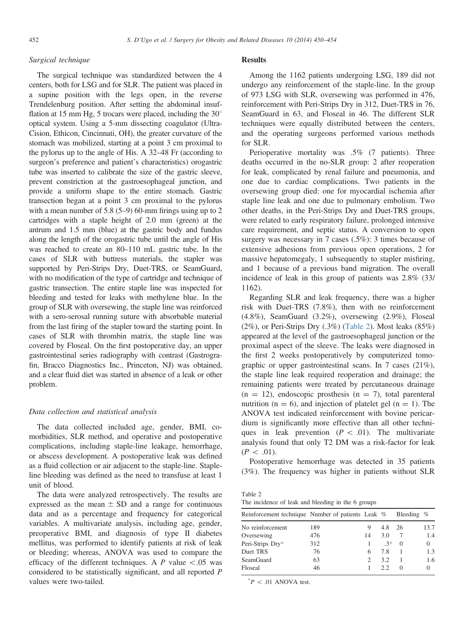## <span id="page-2-0"></span>Surgical technique

The surgical technique was standardized between the 4 centers, both for LSG and for SLR. The patient was placed in a supine position with the legs open, in the reverse Trendelenburg position. After setting the abdominal insufflation at 15 mm Hg, 5 trocars were placed, including the  $30^{\circ}$ optical system. Using a 5-mm dissecting coagulator (Ultra-Cision, Ethicon, Cincinnati, OH), the greater curvature of the stomach was mobilized, starting at a point 3 cm proximal to the pylorus up to the angle of His. A 32–48 Fr (according to surgeon's preference and patient's characteristics) orogastric tube was inserted to calibrate the size of the gastric sleeve, prevent constriction at the gastroesophageal junction, and provide a uniform shape to the entire stomach. Gastric transection began at a point 3 cm proximal to the pylorus with a mean number of 5.8 (5–9) 60-mm firings using up to 2 cartridges with a staple height of 2.0 mm (green) at the antrum and 1.5 mm (blue) at the gastric body and fundus along the length of the orogastric tube until the angle of His was reached to create an 80–110 mL gastric tube. In the cases of SLR with buttress materials, the stapler was supported by Peri-Strips Dry, Duet-TRS, or SeamGuard, with no modification of the type of cartridge and technique of gastric transection. The entire staple line was inspected for bleeding and tested for leaks with methylene blue. In the group of SLR with oversewing, the staple line was reinforced with a sero-serosal running suture with absorbable material from the last firing of the stapler toward the starting point. In cases of SLR with thrombin matrix, the staple line was covered by Floseal. On the first postoperative day, an upper gastrointestinal series radiography with contrast (Gastrografin, Bracco Diagnostics Inc., Princeton, NJ) was obtained, and a clear fluid diet was started in absence of a leak or other problem.

## Data collection and statistical analysis

The data collected included age, gender, BMI, comorbidities, SLR method, and operative and postoperative complications, including staple-line leakage, hemorrhage, or abscess development. A postoperative leak was defined as a fluid collection or air adjacent to the staple-line. Stapleline bleeding was defined as the need to transfuse at least 1 unit of blood.

The data were analyzed retrospectively. The results are expressed as the mean  $\pm$  SD and a range for continuous data and as a percentage and frequency for categorical variables. A multivariate analysis, including age, gender, preoperative BMI, and diagnosis of type II diabetes mellitus, was performed to identify patients at risk of leak or bleeding; whereas, ANOVA was used to compare the efficacy of the different techniques. A  $P$  value  $\lt$  0.05 was considered to be statistically significant, and all reported P values were two-tailed.

## Results

Among the 1162 patients undergoing LSG, 189 did not undergo any reinforcement of the staple-line. In the group of 973 LSG with SLR, oversewing was performed in 476, reinforcement with Peri-Strips Dry in 312, Duet-TRS in 76, SeamGuard in 63, and Floseal in 46. The different SLR techniques were equally distributed between the centers, and the operating surgeons performed various methods for SLR.

Perioperative mortality was .5% (7 patients). Three deaths occurred in the no-SLR group: 2 after reoperation for leak, complicated by renal failure and pneumonia, and one due to cardiac complications. Two patients in the oversewing group died: one for myocardial ischemia after staple line leak and one due to pulmonary embolism. Two other deaths, in the Peri-Strips Dry and Duet-TRS groups, were related to early respiratory failure, prolonged intensive care requirement, and septic status. A conversion to open surgery was necessary in 7 cases (.5%): 3 times because of extensive adhesions from previous open operations, 2 for massive hepatomegaly, 1 subsequently to stapler misfiring, and 1 because of a previous band migration. The overall incidence of leak in this group of patients was 2.8% (33/ 1162).

Regarding SLR and leak frequency, there was a higher risk with Duet-TRS (7.8%), then with no reinforcement (4.8%), SeamGuard (3.2%), oversewing (2.9%), Floseal (2%), or Peri-Strips Dry (.3%) (Table 2). Most leaks (85%) appeared at the level of the gastroesophageal junction or the proximal aspect of the sleeve. The leaks were diagnosed in the first 2 weeks postoperatively by computerized tomographic or upper gastrointestinal scans. In 7 cases (21%), the staple line leak required reoperation and drainage; the remaining patients were treated by percutaneous drainage  $(n = 12)$ , endoscopic prosthesis  $(n = 7)$ , total parenteral nutrition ( $n = 6$ ), and injection of platelet gel ( $n = 1$ ). The ANOVA test indicated reinforcement with bovine pericardium is significantly more effective than all other techniques in leak prevention  $(P < .01)$ . The multivariate analysis found that only T2 DM was a risk-factor for leak  $(P < .01)$ .

Postoperative hemorrhage was detected in 35 patients (3%). The frequency was higher in patients without SLR

| Table 2                                            |  |  |
|----------------------------------------------------|--|--|
| The incidence of leak and bleeding in the 6 groups |  |  |

| Reinforcement technique Number of patients Leak % |     |    |        | Bleeding | %    |
|---------------------------------------------------|-----|----|--------|----------|------|
| No reinforcement                                  | 189 | 9  | 4.8 26 |          | 13.7 |
| Oversewing                                        | 476 | 14 | 3.0    |          | 1.4  |
| Peri-Strips Dry*                                  | 312 |    | $.3*$  | $\Omega$ | 0    |
| Duet TRS                                          | 76  | 6  | 7.8    |          | 13   |
| SeamGuard                                         | 63  |    | 3.2    |          | 1.6  |
| Floseal                                           | 46  |    | 22     | $\Omega$ |      |

 $P < .01$  ANOVA test.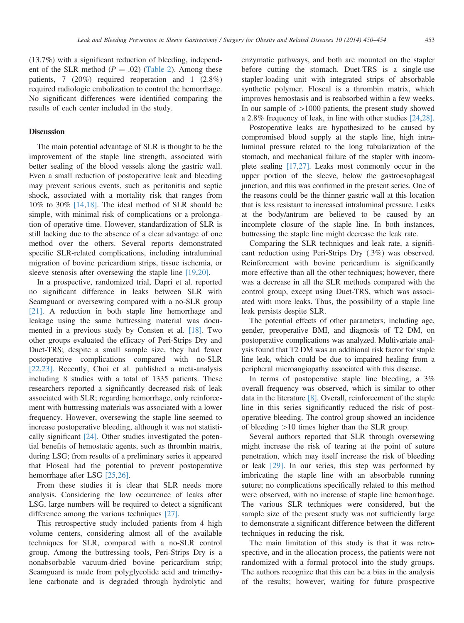(13.7%) with a significant reduction of bleeding, independent of the SLR method ( $P = .02$ ) ([Table 2\)](#page-2-0). Among these patients, 7 (20%) required reoperation and 1 (2.8%) required radiologic embolization to control the hemorrhage. No significant differences were identified comparing the results of each center included in the study.

### **Discussion**

The main potential advantage of SLR is thought to be the improvement of the staple line strength, associated with better sealing of the blood vessels along the gastric wall. Even a small reduction of postoperative leak and bleeding may prevent serious events, such as peritonitis and septic shock, associated with a mortality risk that ranges from 10% to 30% [\[14,18\]](#page-4-0). The ideal method of SLR should be simple, with minimal risk of complications or a prolongation of operative time. However, standardization of SLR is still lacking due to the absence of a clear advantage of one method over the others. Several reports demonstrated specific SLR-related complications, including intraluminal migration of bovine pericardium strips, tissue ischemia, or sleeve stenosis after oversewing the staple line [\[19](#page-4-0),[20\]](#page-4-0).

In a prospective, randomized trial, Dapri et al. reported no significant difference in leaks between SLR with Seamguard or oversewing compared with a no-SLR group [\[21\]](#page-4-0). A reduction in both staple line hemorrhage and leakage using the same buttressing material was documented in a previous study by Consten et al. [\[18\].](#page-4-0) Two other groups evaluated the efficacy of Peri-Strips Dry and Duet-TRS; despite a small sample size, they had fewer postoperative complications compared with no-SLR [\[22](#page-4-0),[23\].](#page-4-0) Recently, Choi et al. published a meta-analysis including 8 studies with a total of 1335 patients. These researchers reported a significantly decreased risk of leak associated with SLR; regarding hemorrhage, only reinforcement with buttressing materials was associated with a lower frequency. However, oversewing the staple line seemed to increase postoperative bleeding, although it was not statistically significant [\[24\]](#page-4-0). Other studies investigated the potential benefits of hemostatic agents, such as thrombin matrix, during LSG; from results of a preliminary series it appeared that Floseal had the potential to prevent postoperative hemorrhage after LSG [\[25,26\].](#page-4-0)

From these studies it is clear that SLR needs more analysis. Considering the low occurrence of leaks after LSG, large numbers will be required to detect a significant difference among the various techniques [\[27\].](#page-4-0)

This retrospective study included patients from 4 high volume centers, considering almost all of the available techniques for SLR, compared with a no-SLR control group. Among the buttressing tools, Peri-Strips Dry is a nonabsorbable vacuum-dried bovine pericardium strip; Seamguard is made from polyglycolide acid and trimethylene carbonate and is degraded through hydrolytic and enzymatic pathways, and both are mounted on the stapler before cutting the stomach. Duet-TRS is a single-use stapler-loading unit with integrated strips of absorbable synthetic polymer. Floseal is a thrombin matrix, which improves hemostasis and is reabsorbed within a few weeks. In our sample of  $>1000$  patients, the present study showed a 2.8% frequency of leak, in line with other studies [\[24,28\].](#page-4-0)

Postoperative leaks are hypothesized to be caused by compromised blood supply at the staple line, high intraluminal pressure related to the long tubularization of the stomach, and mechanical failure of the stapler with incomplete sealing [\[17,27\].](#page-4-0) Leaks most commonly occur in the upper portion of the sleeve, below the gastroesophageal junction, and this was confirmed in the present series. One of the reasons could be the thinner gastric wall at this location that is less resistant to increased intraluminal pressure. Leaks at the body/antrum are believed to be caused by an incomplete closure of the staple line. In both instances, buttressing the staple line might decrease the leak rate.

Comparing the SLR techniques and leak rate, a significant reduction using Peri-Strips Dry (.3%) was observed. Reinforcement with bovine pericardium is significantly more effective than all the other techniques; however, there was a decrease in all the SLR methods compared with the control group, except using Duet-TRS, which was associated with more leaks. Thus, the possibility of a staple line leak persists despite SLR.

The potential effects of other parameters, including age, gender, preoperative BMI, and diagnosis of T2 DM, on postoperative complications was analyzed. Multivariate analysis found that T2 DM was an additional risk factor for staple line leak, which could be due to impaired healing from a peripheral microangiopathy associated with this disease.

In terms of postoperative staple line bleeding, a 3% overall frequency was observed, which is similar to other data in the literature [\[8\].](#page-4-0) Overall, reinforcement of the staple line in this series significantly reduced the risk of postoperative bleeding. The control group showed an incidence of bleeding  $>10$  times higher than the SLR group.

Several authors reported that SLR through oversewing might increase the risk of tearing at the point of suture penetration, which may itself increase the risk of bleeding or leak [\[29\].](#page-4-0) In our series, this step was performed by imbricating the staple line with an absorbable running suture; no complications specifically related to this method were observed, with no increase of staple line hemorrhage. The various SLR techniques were considered, but the sample size of the present study was not sufficiently large to demonstrate a significant difference between the different techniques in reducing the risk.

The main limitation of this study is that it was retrospective, and in the allocation process, the patients were not randomized with a formal protocol into the study groups. The authors recognize that this can be a bias in the analysis of the results; however, waiting for future prospective